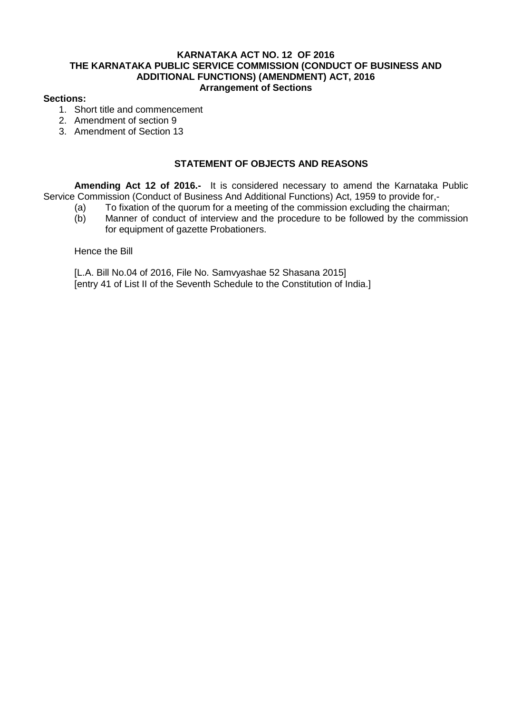### **KARNATAKA ACT NO. 12 OF 2016 THE KARNATAKA PUBLIC SERVICE COMMISSION (CONDUCT OF BUSINESS AND ADDITIONAL FUNCTIONS) (AMENDMENT) ACT, 2016 Arrangement of Sections**

### **Sections:**

- 1. Short title and commencement
- 2. Amendment of section 9
- 3. Amendment of Section 13

# **STATEMENT OF OBJECTS AND REASONS**

**Amending Act 12 of 2016.-** It is considered necessary to amend the Karnataka Public Service Commission (Conduct of Business And Additional Functions) Act, 1959 to provide for,-

- (a) To fixation of the quorum for a meeting of the commission excluding the chairman;
- (b) Manner of conduct of interview and the procedure to be followed by the commission for equipment of gazette Probationers.

Hence the Bill

[L.A. Bill No.04 of 2016, File No. Samvyashae 52 Shasana 2015] [entry 41 of List II of the Seventh Schedule to the Constitution of India.]